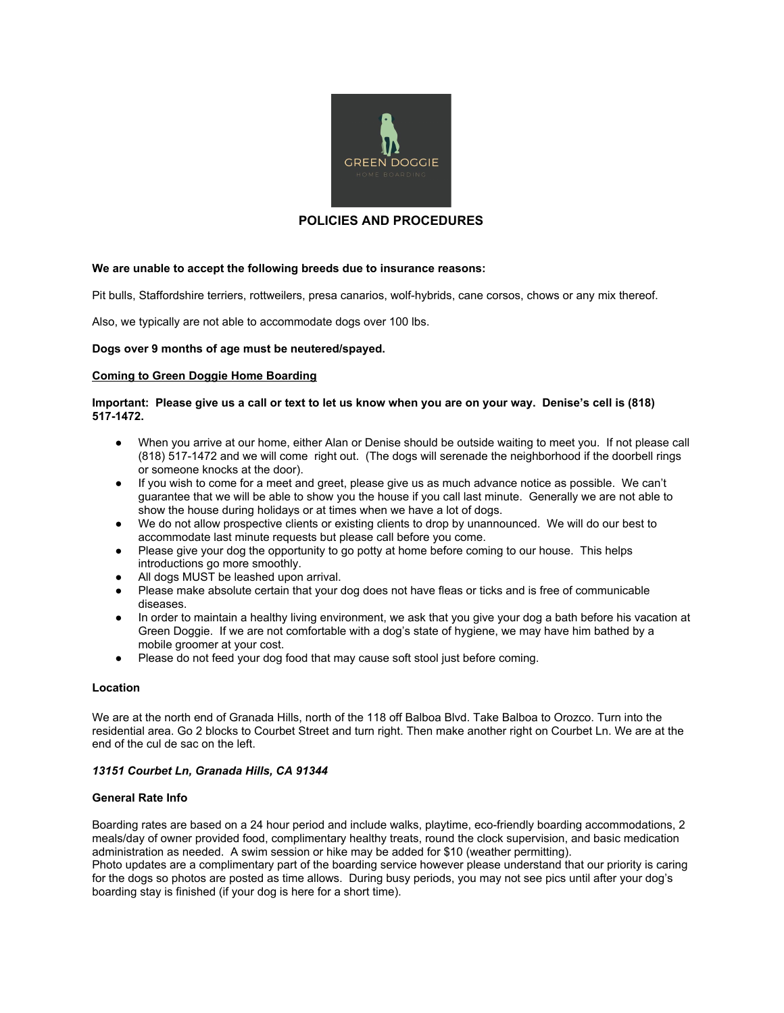

# **POLICIES AND PROCEDURES**

### **We are unable to accept the following breeds due to insurance reasons:**

Pit bulls, Staffordshire terriers, rottweilers, presa canarios, wolf-hybrids, cane corsos, chows or any mix thereof.

Also, we typically are not able to accommodate dogs over 100 lbs.

#### **Dogs over 9 months of age must be neutered/spayed.**

#### **Coming to Green Doggie Home Boarding**

### Important: Please give us a call or text to let us know when you are on your way. Denise's cell is (818) **517-1472.**

- When you arrive at our home, either Alan or Denise should be outside waiting to meet you. If not please call (818) 517-1472 and we will come right out. (The dogs will serenade the neighborhood if the doorbell rings or someone knocks at the door).
- If you wish to come for a meet and greet, please give us as much advance notice as possible. We can't guarantee that we will be able to show you the house if you call last minute. Generally we are not able to show the house during holidays or at times when we have a lot of dogs.
- We do not allow prospective clients or existing clients to drop by unannounced. We will do our best to accommodate last minute requests but please call before you come.
- Please give your dog the opportunity to go potty at home before coming to our house. This helps introductions go more smoothly.
- All dogs MUST be leashed upon arrival.
- Please make absolute certain that your dog does not have fleas or ticks and is free of communicable diseases.
- In order to maintain a healthy living environment, we ask that you give your dog a bath before his vacation at Green Doggie. If we are not comfortable with a dog's state of hygiene, we may have him bathed by a mobile groomer at your cost.
- Please do not feed your dog food that may cause soft stool just before coming.

#### **Location**

We are at the north end of Granada Hills, north of the 118 off Balboa Blvd. Take Balboa to Orozco. Turn into the residential area. Go 2 blocks to Courbet Street and turn right. Then make another right on Courbet Ln. We are at the end of the cul de sac on the left.

### *13151 Courbet Ln, Granada Hills, CA 91344*

#### **General Rate Info**

Boarding rates are based on a 24 hour period and include walks, playtime, eco-friendly boarding accommodations, 2 meals/day of owner provided food, complimentary healthy treats, round the clock supervision, and basic medication administration as needed. A swim session or hike may be added for \$10 (weather permitting).

Photo updates are a complimentary part of the boarding service however please understand that our priority is caring for the dogs so photos are posted as time allows. During busy periods, you may not see pics until after your dog's boarding stay is finished (if your dog is here for a short time).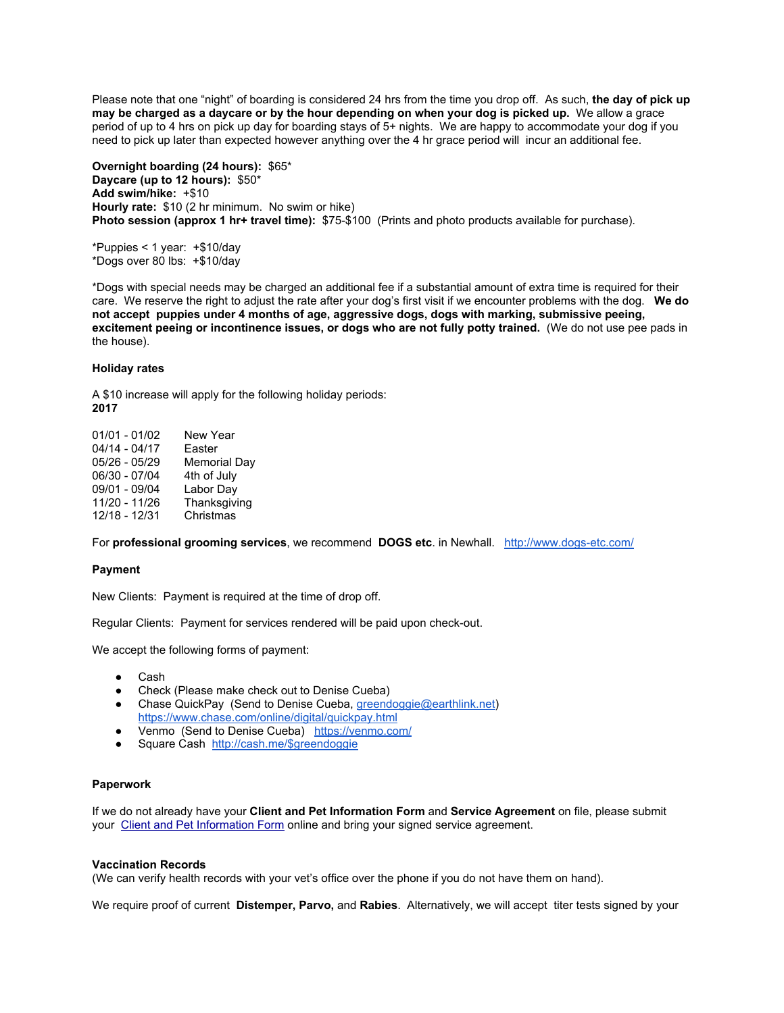Please note that one "night" of boarding is considered 24 hrs from the time you drop off. As such, **the day of pick up** may be charged as a daycare or by the hour depending on when your dog is picked up. We allow a grace period of up to 4 hrs on pick up day for boarding stays of 5+ nights. We are happy to accommodate your dog if you need to pick up later than expected however anything over the 4 hr grace period will incur an additional fee.

**Overnight boarding (24 hours):** \$65\* **Daycare (up to 12 hours):** \$50\* **Add swim/hike:** +\$10 **Hourly rate:** \$10 (2 hr minimum. No swim or hike) **Photo session (approx 1 hr+ travel time):** \$75-\$100 (Prints and photo products available for purchase).

\*Puppies < 1 year: +\$10/day \*Dogs over 80 lbs: +\$10/day

\*Dogs with special needs may be charged an additional fee if a substantial amount of extra time is required for their care. We reserve the right to adjust the rate after your dog's first visit if we encounter problems with the dog. **We do not accept puppies under 4 months of age, aggressive dogs, dogs with marking, submissive peeing, excitement peeing or incontinence issues, or dogs who are not fully potty trained.** (We do not use pee pads in the house).

#### **Holiday rates**

A \$10 increase will apply for the following holiday periods: **2017**

| 01/01 - 01/02 | New Year            |
|---------------|---------------------|
| 04/14 - 04/17 | Easter              |
| 05/26 - 05/29 | <b>Memorial Day</b> |
| 06/30 - 07/04 | 4th of July         |
| 09/01 - 09/04 | Labor Day           |
| 11/20 - 11/26 | Thanksgiving        |
| 12/18 - 12/31 | Christmas           |
|               |                     |

For **professional grooming services**, we recommend **DOGS etc**. in Newhall. <http://www.dogs-etc.com/>

#### **Payment**

New Clients: Payment is required at the time of drop off.

Regular Clients: Payment for services rendered will be paid upon check-out.

We accept the following forms of payment:

- Cash
- Check (Please make check out to Denise Cueba)
- Chase QuickPay (Send to Denise Cueba, [greendoggie@earthlink.net\)](mailto:greendoggie@earthlink.net) <https://www.chase.com/online/digital/quickpay.html>
- Venmo (Send to Denise Cueba) <https://venmo.com/>
- Square Cash [http://cash.me/\\$greendoggie](http://cash.me/$greendoggie)

### **Paperwork**

If we do not already have your **Client and Pet Information Form** and **Service Agreement** on file, please submit your Client and Pet [Information](https://docs.google.com/spreadsheet/viewform?formkey=dDVveHdGeWV4cnhGbUZBRnItMnVIVlE6MA) Form online and bring your signed service agreement.

#### **Vaccination Records**

(We can verify health records with your vet's office over the phone if you do not have them on hand).

We require proof of current **Distemper, Parvo,** and **Rabies**. Alternatively, we will accept titer tests signed by your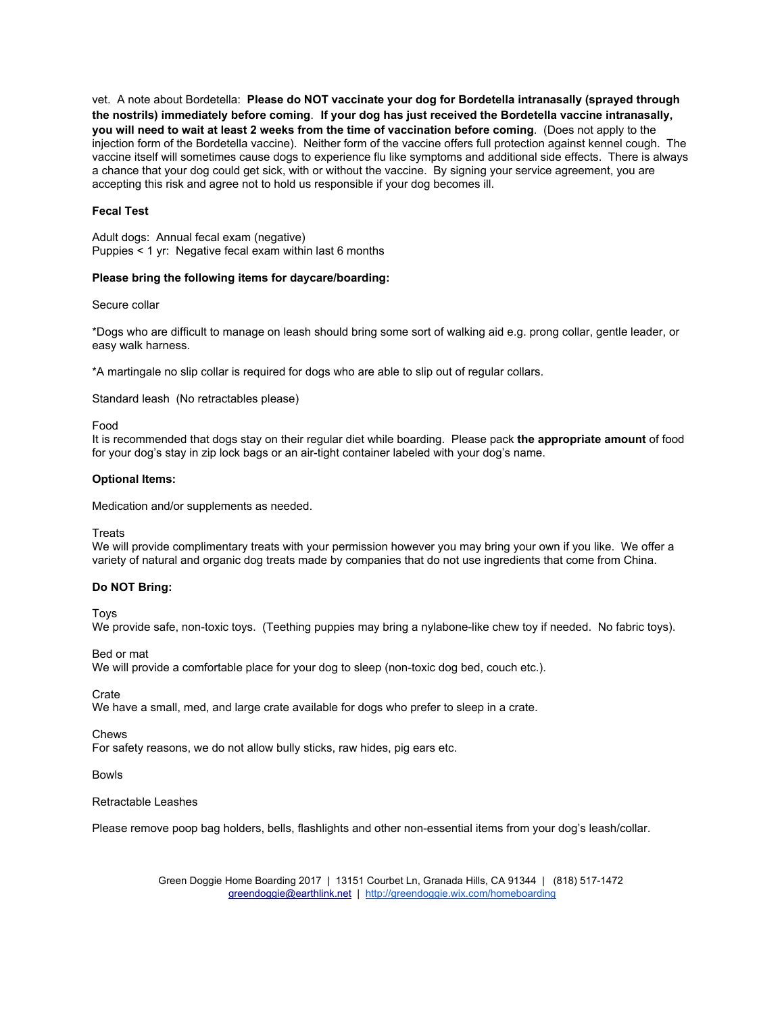vet. A note about Bordetella: **Please do NOT vaccinate your dog for Bordetella intranasally (sprayed through the nostrils) immediately before coming**. **If your dog has just received the Bordetella vaccine intranasally, you will need to wait at least 2 weeks from the time of vaccination before coming**. (Does not apply to the injection form of the Bordetella vaccine). Neither form of the vaccine offers full protection against kennel cough. The vaccine itself will sometimes cause dogs to experience flu like symptoms and additional side effects. There is always a chance that your dog could get sick, with or without the vaccine. By signing your service agreement, you are accepting this risk and agree not to hold us responsible if your dog becomes ill.

### **Fecal Test**

Adult dogs: Annual fecal exam (negative) Puppies < 1 yr: Negative fecal exam within last 6 months

#### **Please bring the following items for daycare/boarding:**

Secure collar

\*Dogs who are difficult to manage on leash should bring some sort of walking aid e.g. prong collar, gentle leader, or easy walk harness.

\*A martingale no slip collar is required for dogs who are able to slip out of regular collars.

Standard leash (No retractables please)

Food

It is recommended that dogs stay on their regular diet while boarding. Please pack **the appropriate amount** of food for your dog's stay in zip lock bags or an air-tight container labeled with your dog's name.

#### **Optional Items:**

Medication and/or supplements as needed.

**Treats** 

We will provide complimentary treats with your permission however you may bring your own if you like. We offer a variety of natural and organic dog treats made by companies that do not use ingredients that come from China.

#### **Do NOT Bring:**

Toys

We provide safe, non-toxic toys. (Teething puppies may bring a nylabone-like chew toy if needed. No fabric toys).

Bed or mat

We will provide a comfortable place for your dog to sleep (non-toxic dog bed, couch etc.).

**Crate** 

We have a small, med, and large crate available for dogs who prefer to sleep in a crate.

Chews

For safety reasons, we do not allow bully sticks, raw hides, pig ears etc.

Bowls

Retractable Leashes

Please remove poop bag holders, bells, flashlights and other non-essential items from your dog's leash/collar.

Green Doggie Home Boarding 2017 | 13151 Courbet Ln, Granada Hills, CA 91344 | (818) 517-1472 [greendoggie@earthlink.net](mailto:greendoggie@earthlink.net) | <http://greendoggie.wix.com/homeboarding>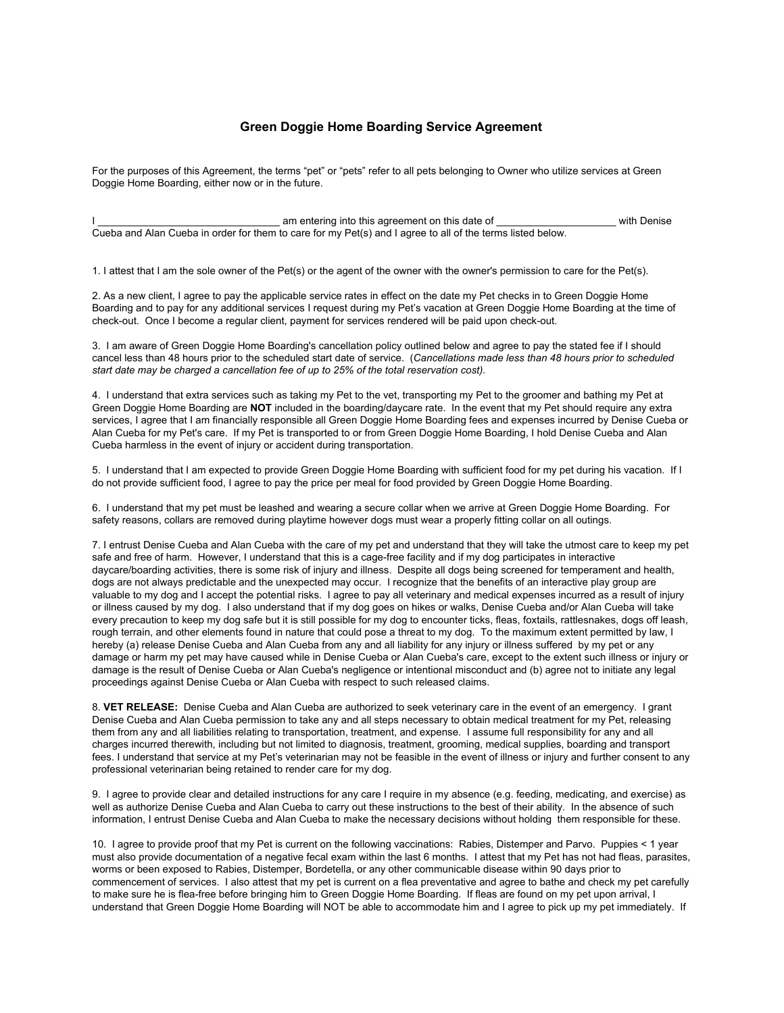## **Green Doggie Home Boarding Service Agreement**

For the purposes of this Agreement, the terms "pet" or "pets" refer to all pets belonging to Owner who utilize services at Green Doggie Home Boarding, either now or in the future.

am entering into this agreement on this date of  $\blacksquare$  with Denise Cueba and Alan Cueba in order for them to care for my Pet(s) and I agree to all of the terms listed below.

1. I attest that I am the sole owner of the Pet(s) or the agent of the owner with the owner's permission to care for the Pet(s).

2. As a new client, I agree to pay the applicable service rates in effect on the date my Pet checks in to Green Doggie Home Boarding and to pay for any additional services I request during my Pet's vacation at Green Doggie Home Boarding at the time of check-out. Once I become a regular client, payment for services rendered will be paid upon check-out.

3. I am aware of Green Doggie Home Boarding's cancellation policy outlined below and agree to pay the stated fee if I should cancel less than 48 hours prior to the scheduled start date of service. (*Cancellations made less than 48 hours prior to scheduled start date may be charged a cancellation fee of up to 25% of the total reservation cost).*

4. I understand that extra services such as taking my Pet to the vet, transporting my Pet to the groomer and bathing my Pet at Green Doggie Home Boarding are **NOT** included in the boarding/daycare rate. In the event that my Pet should require any extra services, I agree that I am financially responsible all Green Doggie Home Boarding fees and expenses incurred by Denise Cueba or Alan Cueba for my Pet's care. If my Pet is transported to or from Green Doggie Home Boarding, I hold Denise Cueba and Alan Cueba harmless in the event of injury or accident during transportation.

5. I understand that I am expected to provide Green Doggie Home Boarding with sufficient food for my pet during his vacation. If I do not provide sufficient food, I agree to pay the price per meal for food provided by Green Doggie Home Boarding.

6. I understand that my pet must be leashed and wearing a secure collar when we arrive at Green Doggie Home Boarding. For safety reasons, collars are removed during playtime however dogs must wear a properly fitting collar on all outings.

7. I entrust Denise Cueba and Alan Cueba with the care of my pet and understand that they will take the utmost care to keep my pet safe and free of harm. However, I understand that this is a cage-free facility and if my dog participates in interactive daycare/boarding activities, there is some risk of injury and illness. Despite all dogs being screened for temperament and health, dogs are not always predictable and the unexpected may occur. I recognize that the benefits of an interactive play group are valuable to my dog and I accept the potential risks. I agree to pay all veterinary and medical expenses incurred as a result of injury or illness caused by my dog. I also understand that if my dog goes on hikes or walks, Denise Cueba and/or Alan Cueba will take every precaution to keep my dog safe but it is still possible for my dog to encounter ticks, fleas, foxtails, rattlesnakes, dogs off leash, rough terrain, and other elements found in nature that could pose a threat to my dog. To the maximum extent permitted by law, I hereby (a) release Denise Cueba and Alan Cueba from any and all liability for any injury or illness suffered by my pet or any damage or harm my pet may have caused while in Denise Cueba or Alan Cueba's care, except to the extent such illness or injury or damage is the result of Denise Cueba or Alan Cueba's negligence or intentional misconduct and (b) agree not to initiate any legal proceedings against Denise Cueba or Alan Cueba with respect to such released claims.

8. **VET RELEASE:** Denise Cueba and Alan Cueba are authorized to seek veterinary care in the event of an emergency. I grant Denise Cueba and Alan Cueba permission to take any and all steps necessary to obtain medical treatment for my Pet, releasing them from any and all liabilities relating to transportation, treatment, and expense. I assume full responsibility for any and all charges incurred therewith, including but not limited to diagnosis, treatment, grooming, medical supplies, boarding and transport fees. I understand that service at my Pet's veterinarian may not be feasible in the event of illness or injury and further consent to any professional veterinarian being retained to render care for my dog.

9. I agree to provide clear and detailed instructions for any care I require in my absence (e.g. feeding, medicating, and exercise) as well as authorize Denise Cueba and Alan Cueba to carry out these instructions to the best of their ability. In the absence of such information, I entrust Denise Cueba and Alan Cueba to make the necessary decisions without holding them responsible for these.

10. I agree to provide proof that my Pet is current on the following vaccinations: Rabies, Distemper and Parvo. Puppies < 1 year must also provide documentation of a negative fecal exam within the last 6 months. I attest that my Pet has not had fleas, parasites, worms or been exposed to Rabies, Distemper, Bordetella, or any other communicable disease within 90 days prior to commencement of services. I also attest that my pet is current on a flea preventative and agree to bathe and check my pet carefully to make sure he is flea-free before bringing him to Green Doggie Home Boarding. If fleas are found on my pet upon arrival, I understand that Green Doggie Home Boarding will NOT be able to accommodate him and I agree to pick up my pet immediately. If